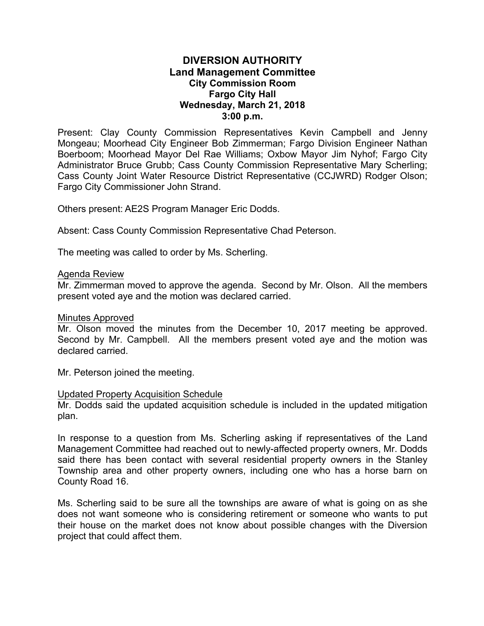# **DIVERSION AUTHORITY Land Management Committee City Commission Room Fargo City Hall Wednesday, March 21, 2018 3:00 p.m.**

Present: Clay County Commission Representatives Kevin Campbell and Jenny Mongeau; Moorhead City Engineer Bob Zimmerman; Fargo Division Engineer Nathan Boerboom; Moorhead Mayor Del Rae Williams; Oxbow Mayor Jim Nyhof; Fargo City Administrator Bruce Grubb; Cass County Commission Representative Mary Scherling; Cass County Joint Water Resource District Representative (CCJWRD) Rodger Olson; Fargo City Commissioner John Strand.

Others present: AE2S Program Manager Eric Dodds.

Absent: Cass County Commission Representative Chad Peterson.

The meeting was called to order by Ms. Scherling.

### Agenda Review

Mr. Zimmerman moved to approve the agenda. Second by Mr. Olson. All the members present voted aye and the motion was declared carried.

### Minutes Approved

Mr. Olson moved the minutes from the December 10, 2017 meeting be approved. Second by Mr. Campbell. All the members present voted aye and the motion was declared carried.

Mr. Peterson joined the meeting.

### Updated Property Acquisition Schedule

Mr. Dodds said the updated acquisition schedule is included in the updated mitigation plan.

In response to a question from Ms. Scherling asking if representatives of the Land Management Committee had reached out to newly-affected property owners, Mr. Dodds said there has been contact with several residential property owners in the Stanley Township area and other property owners, including one who has a horse barn on County Road 16.

Ms. Scherling said to be sure all the townships are aware of what is going on as she does not want someone who is considering retirement or someone who wants to put their house on the market does not know about possible changes with the Diversion project that could affect them.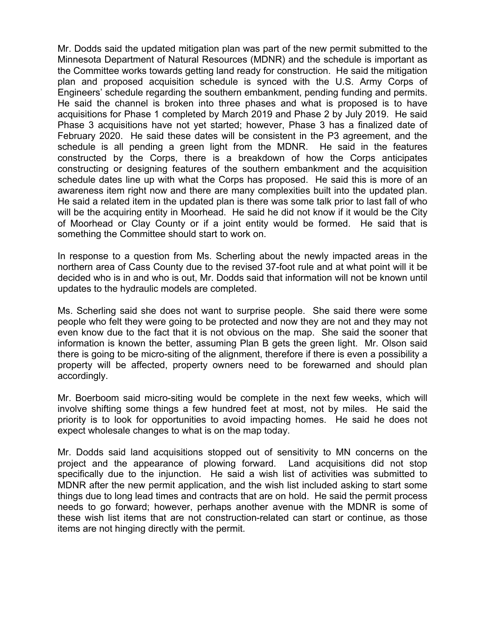Mr. Dodds said the updated mitigation plan was part of the new permit submitted to the Minnesota Department of Natural Resources (MDNR) and the schedule is important as the Committee works towards getting land ready for construction. He said the mitigation plan and proposed acquisition schedule is synced with the U.S. Army Corps of Engineers' schedule regarding the southern embankment, pending funding and permits. He said the channel is broken into three phases and what is proposed is to have acquisitions for Phase 1 completed by March 2019 and Phase 2 by July 2019. He said Phase 3 acquisitions have not yet started; however, Phase 3 has a finalized date of February 2020. He said these dates will be consistent in the P3 agreement, and the schedule is all pending a green light from the MDNR. He said in the features constructed by the Corps, there is a breakdown of how the Corps anticipates constructing or designing features of the southern embankment and the acquisition schedule dates line up with what the Corps has proposed. He said this is more of an awareness item right now and there are many complexities built into the updated plan. He said a related item in the updated plan is there was some talk prior to last fall of who will be the acquiring entity in Moorhead. He said he did not know if it would be the City of Moorhead or Clay County or if a joint entity would be formed. He said that is something the Committee should start to work on.

In response to a question from Ms. Scherling about the newly impacted areas in the northern area of Cass County due to the revised 37-foot rule and at what point will it be decided who is in and who is out, Mr. Dodds said that information will not be known until updates to the hydraulic models are completed.

Ms. Scherling said she does not want to surprise people. She said there were some people who felt they were going to be protected and now they are not and they may not even know due to the fact that it is not obvious on the map. She said the sooner that information is known the better, assuming Plan B gets the green light. Mr. Olson said there is going to be micro-siting of the alignment, therefore if there is even a possibility a property will be affected, property owners need to be forewarned and should plan accordingly.

Mr. Boerboom said micro-siting would be complete in the next few weeks, which will involve shifting some things a few hundred feet at most, not by miles. He said the priority is to look for opportunities to avoid impacting homes. He said he does not expect wholesale changes to what is on the map today.

Mr. Dodds said land acquisitions stopped out of sensitivity to MN concerns on the project and the appearance of plowing forward. Land acquisitions did not stop specifically due to the injunction. He said a wish list of activities was submitted to MDNR after the new permit application, and the wish list included asking to start some things due to long lead times and contracts that are on hold. He said the permit process needs to go forward; however, perhaps another avenue with the MDNR is some of these wish list items that are not construction-related can start or continue, as those items are not hinging directly with the permit.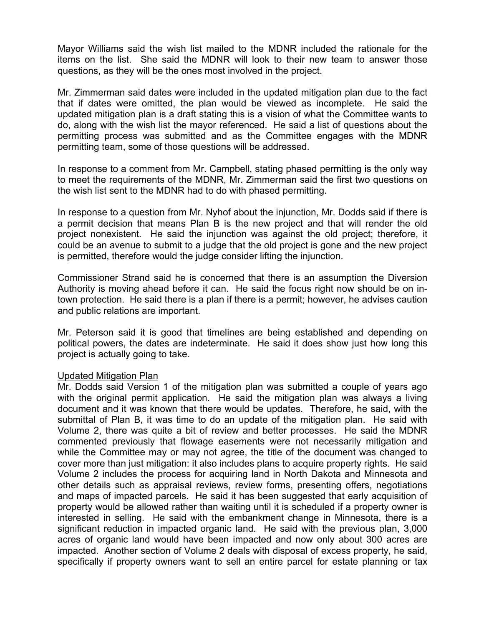Mayor Williams said the wish list mailed to the MDNR included the rationale for the items on the list. She said the MDNR will look to their new team to answer those questions, as they will be the ones most involved in the project.

Mr. Zimmerman said dates were included in the updated mitigation plan due to the fact that if dates were omitted, the plan would be viewed as incomplete. He said the updated mitigation plan is a draft stating this is a vision of what the Committee wants to do, along with the wish list the mayor referenced. He said a list of questions about the permitting process was submitted and as the Committee engages with the MDNR permitting team, some of those questions will be addressed.

In response to a comment from Mr. Campbell, stating phased permitting is the only way to meet the requirements of the MDNR, Mr. Zimmerman said the first two questions on the wish list sent to the MDNR had to do with phased permitting.

In response to a question from Mr. Nyhof about the injunction, Mr. Dodds said if there is a permit decision that means Plan B is the new project and that will render the old project nonexistent. He said the injunction was against the old project; therefore, it could be an avenue to submit to a judge that the old project is gone and the new project is permitted, therefore would the judge consider lifting the injunction.

Commissioner Strand said he is concerned that there is an assumption the Diversion Authority is moving ahead before it can. He said the focus right now should be on intown protection. He said there is a plan if there is a permit; however, he advises caution and public relations are important.

Mr. Peterson said it is good that timelines are being established and depending on political powers, the dates are indeterminate. He said it does show just how long this project is actually going to take.

## Updated Mitigation Plan

Mr. Dodds said Version 1 of the mitigation plan was submitted a couple of years ago with the original permit application. He said the mitigation plan was always a living document and it was known that there would be updates. Therefore, he said, with the submittal of Plan B, it was time to do an update of the mitigation plan. He said with Volume 2, there was quite a bit of review and better processes. He said the MDNR commented previously that flowage easements were not necessarily mitigation and while the Committee may or may not agree, the title of the document was changed to cover more than just mitigation: it also includes plans to acquire property rights. He said Volume 2 includes the process for acquiring land in North Dakota and Minnesota and other details such as appraisal reviews, review forms, presenting offers, negotiations and maps of impacted parcels. He said it has been suggested that early acquisition of property would be allowed rather than waiting until it is scheduled if a property owner is interested in selling. He said with the embankment change in Minnesota, there is a significant reduction in impacted organic land. He said with the previous plan, 3,000 acres of organic land would have been impacted and now only about 300 acres are impacted. Another section of Volume 2 deals with disposal of excess property, he said, specifically if property owners want to sell an entire parcel for estate planning or tax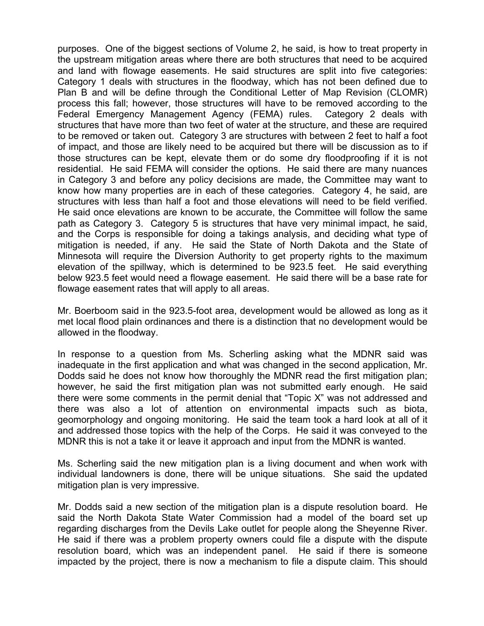purposes. One of the biggest sections of Volume 2, he said, is how to treat property in the upstream mitigation areas where there are both structures that need to be acquired and land with flowage easements. He said structures are split into five categories: Category 1 deals with structures in the floodway, which has not been defined due to Plan B and will be define through the Conditional Letter of Map Revision (CLOMR) process this fall; however, those structures will have to be removed according to the Federal Emergency Management Agency (FEMA) rules. Category 2 deals with structures that have more than two feet of water at the structure, and these are required to be removed or taken out. Category 3 are structures with between 2 feet to half a foot of impact, and those are likely need to be acquired but there will be discussion as to if those structures can be kept, elevate them or do some dry floodproofing if it is not residential. He said FEMA will consider the options. He said there are many nuances in Category 3 and before any policy decisions are made, the Committee may want to know how many properties are in each of these categories. Category 4, he said, are structures with less than half a foot and those elevations will need to be field verified. He said once elevations are known to be accurate, the Committee will follow the same path as Category 3. Category 5 is structures that have very minimal impact, he said, and the Corps is responsible for doing a takings analysis, and deciding what type of mitigation is needed, if any. He said the State of North Dakota and the State of Minnesota will require the Diversion Authority to get property rights to the maximum elevation of the spillway, which is determined to be 923.5 feet. He said everything below 923.5 feet would need a flowage easement. He said there will be a base rate for flowage easement rates that will apply to all areas.

Mr. Boerboom said in the 923.5-foot area, development would be allowed as long as it met local flood plain ordinances and there is a distinction that no development would be allowed in the floodway.

In response to a question from Ms. Scherling asking what the MDNR said was inadequate in the first application and what was changed in the second application, Mr. Dodds said he does not know how thoroughly the MDNR read the first mitigation plan; however, he said the first mitigation plan was not submitted early enough. He said there were some comments in the permit denial that "Topic X" was not addressed and there was also a lot of attention on environmental impacts such as biota, geomorphology and ongoing monitoring. He said the team took a hard look at all of it and addressed those topics with the help of the Corps. He said it was conveyed to the MDNR this is not a take it or leave it approach and input from the MDNR is wanted.

Ms. Scherling said the new mitigation plan is a living document and when work with individual landowners is done, there will be unique situations. She said the updated mitigation plan is very impressive.

Mr. Dodds said a new section of the mitigation plan is a dispute resolution board. He said the North Dakota State Water Commission had a model of the board set up regarding discharges from the Devils Lake outlet for people along the Sheyenne River. He said if there was a problem property owners could file a dispute with the dispute resolution board, which was an independent panel. He said if there is someone impacted by the project, there is now a mechanism to file a dispute claim. This should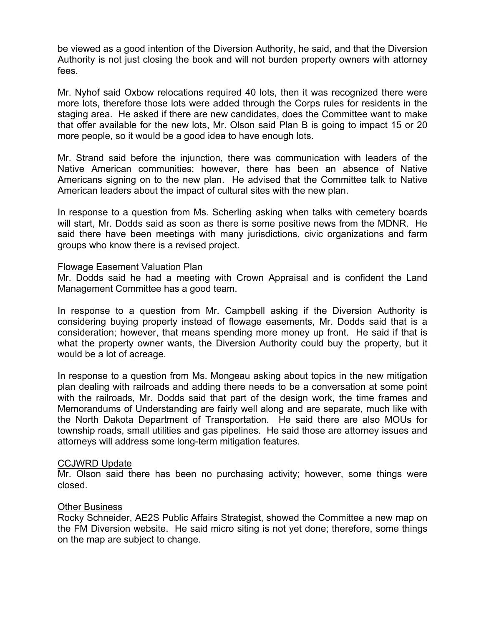be viewed as a good intention of the Diversion Authority, he said, and that the Diversion Authority is not just closing the book and will not burden property owners with attorney fees.

Mr. Nyhof said Oxbow relocations required 40 lots, then it was recognized there were more lots, therefore those lots were added through the Corps rules for residents in the staging area. He asked if there are new candidates, does the Committee want to make that offer available for the new lots, Mr. Olson said Plan B is going to impact 15 or 20 more people, so it would be a good idea to have enough lots.

Mr. Strand said before the injunction, there was communication with leaders of the Native American communities; however, there has been an absence of Native Americans signing on to the new plan. He advised that the Committee talk to Native American leaders about the impact of cultural sites with the new plan.

In response to a question from Ms. Scherling asking when talks with cemetery boards will start, Mr. Dodds said as soon as there is some positive news from the MDNR. He said there have been meetings with many jurisdictions, civic organizations and farm groups who know there is a revised project.

## Flowage Easement Valuation Plan

Mr. Dodds said he had a meeting with Crown Appraisal and is confident the Land Management Committee has a good team.

In response to a question from Mr. Campbell asking if the Diversion Authority is considering buying property instead of flowage easements, Mr. Dodds said that is a consideration; however, that means spending more money up front. He said if that is what the property owner wants, the Diversion Authority could buy the property, but it would be a lot of acreage.

In response to a question from Ms. Mongeau asking about topics in the new mitigation plan dealing with railroads and adding there needs to be a conversation at some point with the railroads, Mr. Dodds said that part of the design work, the time frames and Memorandums of Understanding are fairly well along and are separate, much like with the North Dakota Department of Transportation. He said there are also MOUs for township roads, small utilities and gas pipelines. He said those are attorney issues and attorneys will address some long-term mitigation features.

## CCJWRD Update

Mr. Olson said there has been no purchasing activity; however, some things were closed.

## Other Business

Rocky Schneider, AE2S Public Affairs Strategist, showed the Committee a new map on the FM Diversion website. He said micro siting is not yet done; therefore, some things on the map are subject to change.